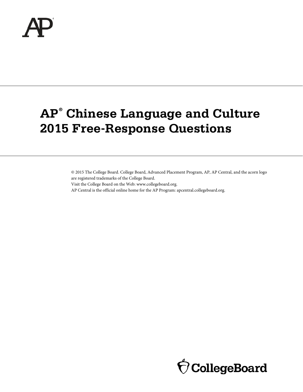

# **AP® Chinese Language and Culture 2015 Free-Response Questions**

© 2015 The College Board. College Board, Advanced Placement Program, AP, AP Central, and the acorn logo are registered trademarks of the College Board.

Visit the College Board on the Web: [www.collegeboard.org.](www.collegeboard.org)

AP Central is the official online home for the AP Program[: apcentral.collegeboard.org.](apcentral.collegeboard.org)

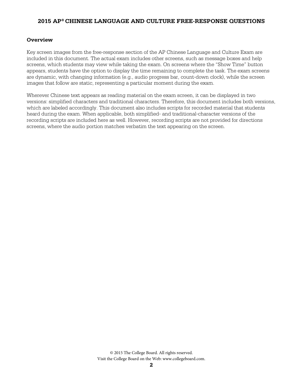#### **Overview**

Key screen images from the free-response section of the AP Chinese Language and Culture Exam are included in this document. The actual exam includes other screens, such as message boxes and help screens, which students may view while taking the exam. On screens where the "Show Time" button appears, students have the option to display the time remaining to complete the task. The exam screens are dynamic, with changing information (e.g., audio progress bar, count-down clock), while the screen images that follow are static, representing a particular moment during the exam.

Wherever Chinese text appears as reading material on the exam screen, it can be displayed in two versions: simplified characters and traditional characters. Therefore, this document includes both versions, which are labeled accordingly. This document also includes scripts for recorded material that students heard during the exam. When applicable, both simplified- and traditional-character versions of the recording scripts are included here as well. However, recording scripts are not provided for directions screens, where the audio portion matches verbatim the text appearing on the screen.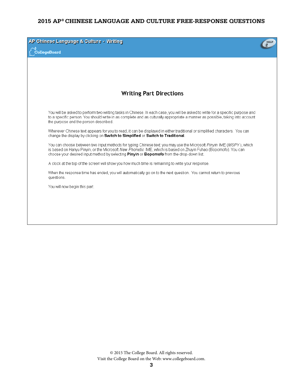| AP Chinese Language & Culture - Writing<br>ollegeBoard                                                                                                                                                                                                                                                                               | <b>HELP</b> |
|--------------------------------------------------------------------------------------------------------------------------------------------------------------------------------------------------------------------------------------------------------------------------------------------------------------------------------------|-------------|
|                                                                                                                                                                                                                                                                                                                                      |             |
|                                                                                                                                                                                                                                                                                                                                      |             |
| <b>Writing Part Directions</b>                                                                                                                                                                                                                                                                                                       |             |
| You will be asked to perform two writing tasks in Chinese. In each case, you will be asked to write for a specific purpose and<br>to a specific person. You should write in as complete and as culturally appropriate a manner as possible, taking into account<br>the purpose and the person described.                             |             |
| Wherever Chinese text appears for you to read, it can be displayed in either traditional or simplified characters. You can<br>change the display by clicking on Switch to Simplified or Switch to Traditional.                                                                                                                       |             |
| You can choose between two input methods for typing Chinese text: you may use the Microsoft Pinyin IME (MSPY), which<br>is based on Hanyu Pinyin, or the Microsoft New Phonetic IME, which is based on Zhuyin Fuhao (Bopomofo). You can<br>choose your desired input method by selecting Pinyin or Bopomofo from the drop-down list. |             |
| A clock at the top of the screen will show you how much time is remaining to write your response.                                                                                                                                                                                                                                    |             |
| When the response time has ended, you will automatically go on to the next question. You cannot return to previous<br>questions.                                                                                                                                                                                                     |             |
| You will now begin this part.                                                                                                                                                                                                                                                                                                        |             |
|                                                                                                                                                                                                                                                                                                                                      |             |
|                                                                                                                                                                                                                                                                                                                                      |             |
|                                                                                                                                                                                                                                                                                                                                      |             |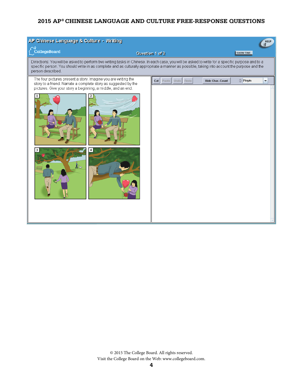| AP Chinese Language & Culture - Writing<br>HELP                                                                                                                                                                                                                                                                      |                                                                                         |  |
|----------------------------------------------------------------------------------------------------------------------------------------------------------------------------------------------------------------------------------------------------------------------------------------------------------------------|-----------------------------------------------------------------------------------------|--|
| CollegeBoard                                                                                                                                                                                                                                                                                                         | <b>SHOW TIME</b><br>Question 1 of 2                                                     |  |
| Directions: You will be asked to perform two writing tasks in Chinese. In each case, you will be asked to write for a specific purpose and to a<br>specific person. You should write in as complete and as culturally appropriate a manner as possible, taking into account the purpose and the<br>person described. |                                                                                         |  |
| The four pictures present a story. Imagine you are writing the<br>story to a friend. Narrate a complete story as suggested by the<br>pictures. Give your story a beginning, a middle, and an end.                                                                                                                    | $0$ Pinyin<br>Cut Paste Undo<br><b>Hide Char. Count</b><br>Redo<br>$\blacktriangledown$ |  |
|                                                                                                                                                                                                                                                                                                                      |                                                                                         |  |
| $\sum_{n=1}^{\infty}$                                                                                                                                                                                                                                                                                                |                                                                                         |  |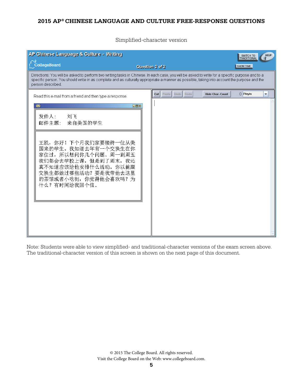Simplified-character version

| AP Chinese Language & Culture - Writing                                                                                                                                                                                                                                                                              |                                                      | <b>HELP</b><br>SWITCH TO<br>TRADITIONAL |
|----------------------------------------------------------------------------------------------------------------------------------------------------------------------------------------------------------------------------------------------------------------------------------------------------------------------|------------------------------------------------------|-----------------------------------------|
| CollegeBoard                                                                                                                                                                                                                                                                                                         | Question 2 of 2                                      | <b>SHOW TIME</b>                        |
| Directions: You will be asked to perform two writing tasks in Chinese. In each case, you will be asked to write for a specific purpose and to a<br>specific person. You should write in as complete and as culturally appropriate a manner as possible, taking into account the purpose and the<br>person described. |                                                      |                                         |
| Read this e-mail from a friend and then type a response.                                                                                                                                                                                                                                                             | Cut   Paste   Undo   Redo<br><b>Hide Char. Count</b> | $0$ Pinyin<br>▼                         |
| $\boxtimes$<br>$-$ D $\times$<br>发件人:<br>刘飞<br>来自美国的学生<br>邮件主题:                                                                                                                                                                                                                                                      |                                                      |                                         |
| 王凯, 你好! 下个月我们家要接待一位从美<br>国来的学生。我知道去年有一个交换生在你<br>家住过, 所以想问你几个问题。周一到周五<br>我们都会去学校上课, 但是到了周末, 我还<br>真不知道应该给他安排什么活动。你以前跟<br>交换生都做过哪些活动? 要是我带他去这里<br>的茶馆或者小吃街, 你觉得他会喜欢吗? 为<br>什么?有时间给我回个信。                                                                                                                                |                                                      |                                         |
|                                                                                                                                                                                                                                                                                                                      |                                                      |                                         |

Note: Students were able to view simplified- and traditional-character versions of the exam screen above. The traditional-character version of this screen is shown on the next page of this document.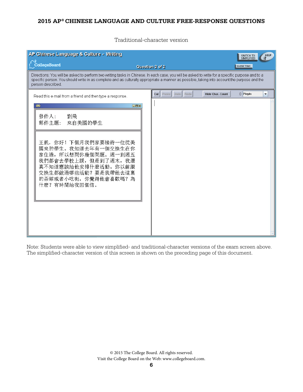Traditional-character version

| AP Chinese Language & Culture - Writing                                                                                                                                                                                                                                                                              |                                                      | <b>HELP</b><br>SWITCH TO<br>SIMPLIFIED |
|----------------------------------------------------------------------------------------------------------------------------------------------------------------------------------------------------------------------------------------------------------------------------------------------------------------------|------------------------------------------------------|----------------------------------------|
| CollegeBoard                                                                                                                                                                                                                                                                                                         | Question 2 of 2                                      | <b>SHOW TIME</b>                       |
| Directions: You will be asked to perform two writing tasks in Chinese. In each case, you will be asked to write for a specific purpose and to a<br>specific person. You should write in as complete and as culturally appropriate a manner as possible, taking into account the purpose and the<br>person described. |                                                      |                                        |
| Read this e-mail from a friend and then type a response.                                                                                                                                                                                                                                                             | Cut   Paste   Undo   Redo<br><b>Hide Char. Count</b> | $\Omega$ Pinvin<br>▼                   |
| $\boxtimes$<br>$\Box$ D $\times$<br>發件人:<br>劉飛<br>來自美國的學生<br>郵件主題:                                                                                                                                                                                                                                                   |                                                      |                                        |
| 王凱, 你好! 下個月我們家要接待一位從美<br>國來的學生。我知道去年有一個交換生在你<br>家住過, 所以想問你幾個問題。週一到週五<br>我們都會去學校上課, 但是到了週末, 我還<br>真不知道應該給他安排什麼活動。你以前跟<br>交換生都做過哪些活動? 要是我帶他去這裏<br>的茶館或者小吃街, 你覺得他會喜歡嗎?為<br>什麼?有時間給我回個信。                                                                                                                                 |                                                      |                                        |
|                                                                                                                                                                                                                                                                                                                      |                                                      |                                        |

Note: Students were able to view simplified- and traditional-character versions of the exam screen above. The simplified-character version of this screen is shown on the preceding page of this document.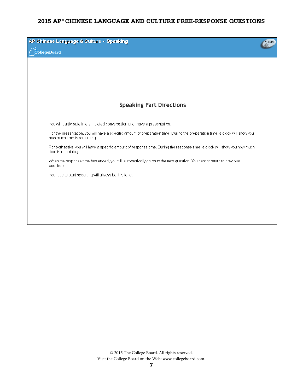| AP Chinese Language & Culture - Speaking<br>.<br>CollegeBoard                                                                                                | VOLUME |
|--------------------------------------------------------------------------------------------------------------------------------------------------------------|--------|
|                                                                                                                                                              |        |
|                                                                                                                                                              |        |
| <b>Speaking Part Directions</b>                                                                                                                              |        |
| You will participate in a simulated conversation and make a presentation.                                                                                    |        |
| For the presentation, you will have a specific amount of preparation time. During the preparation time, a clock will show you<br>how much time is remaining. |        |
| For both tasks, you will have a specific amount of response time. During the response time, a clock will show you how much<br>time is remaining.             |        |
| When the response time has ended, you will automatically go on to the next question. You cannot return to previous<br>questions.                             |        |
| Your cue to start speaking will always be this tone.                                                                                                         |        |
|                                                                                                                                                              |        |
|                                                                                                                                                              |        |
|                                                                                                                                                              |        |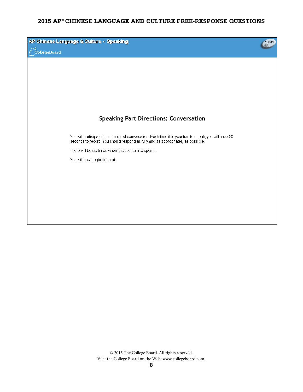| CollegeBoard | AP Chinese Language & Culture - Speaking                                                                                                                                                   | VOLUME |
|--------------|--------------------------------------------------------------------------------------------------------------------------------------------------------------------------------------------|--------|
|              |                                                                                                                                                                                            |        |
|              |                                                                                                                                                                                            |        |
|              | <b>Speaking Part Directions: Conversation</b>                                                                                                                                              |        |
|              | You will participate in a simulated conversation. Each time it is your turn to speak, you will have 20<br>seconds to record. You should respond as fully and as appropriately as possible. |        |
|              | There will be six times when it is your turn to speak.<br>You will now begin this part.                                                                                                    |        |
|              |                                                                                                                                                                                            |        |
|              |                                                                                                                                                                                            |        |
|              |                                                                                                                                                                                            |        |
|              |                                                                                                                                                                                            |        |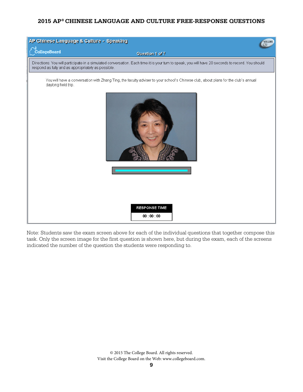| AP Chinese Language & Culture - Speaking<br>VOLUME                                                                                                        |                                                                                                                                                  |
|-----------------------------------------------------------------------------------------------------------------------------------------------------------|--------------------------------------------------------------------------------------------------------------------------------------------------|
| CollegeBoard                                                                                                                                              | Question 1 of 7                                                                                                                                  |
| respond as fully and as appropriately as possible.                                                                                                        | Directions: You will participate in a simulated conversation. Each time it is your turn to speak, you will have 20 seconds to record. You should |
| You will have a conversation with Zhang Ting, the faculty adviser to your school's Chinese club, about plans for the club's annual<br>daylong field trip. |                                                                                                                                                  |
|                                                                                                                                                           |                                                                                                                                                  |
|                                                                                                                                                           | <b>RESPONSE TIME</b><br>00:00:00                                                                                                                 |

Note: Students saw the exam screen above for each of the individual questions that together compose this task. Only the screen image for the first question is shown here, but during the exam, each of the screens indicated the number of the question the students were responding to.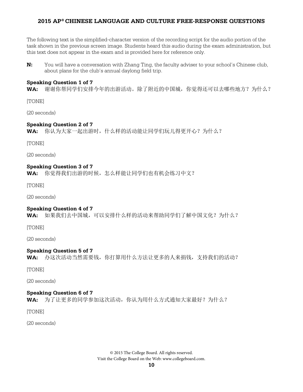The following text is the simplified-character version of the recording script for the audio portion of the task shown in the previous screen image. Students heard this audio during the exam administration, but this text does not appear in the exam and is provided here for reference only.

**N:** You will have a conversation with Zhang Ting, the faculty adviser to your school's Chinese club, about plans for the club's annual daylong field trip.

#### **Speaking Question 1 of 7**

**WA:** 谢谢你帮同学们安排今年的出游活动。除了附近的中国城,你觉得还可以去哪些地方?为什么?

[TONE]

(20 seconds)

#### **Speaking Question 2 of 7**

**WA:** 你认为大家一起出游时,什么样的活动能让同学们玩儿得更开心?为什么?

[TONE]

(20 seconds)

#### **Speaking Question 3 of 7**

**WA:** 你觉得我们出游的时候,怎么样能让同学们也有机会练习中文?

[TONE]

(20 seconds)

#### **Speaking Question 4 of 7**

WA: 如果我们去中国城,可以安排什么样的活动来帮助同学们了解中国文化?为什么?

[TONE]

(20 seconds)

#### **Speaking Question 5 of 7**

**WA:** 办这次活动当然需要钱,你打算用什么方法让更多的人来捐钱,支持我们的活动?

[TONE]

(20 seconds)

#### **Speaking Question 6 of 7**

**WA:** 为了让更多的同学参加这次活动,你认为用什么方式通知大家最好?为什么?

[TONE]

(20 seconds)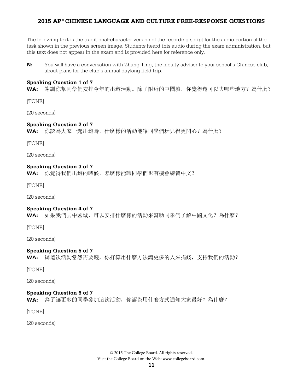The following text is the traditional-character version of the recording script for the audio portion of the task shown in the previous screen image. Students heard this audio during the exam administration, but this text does not appear in the exam and is provided here for reference only.

**N:** You will have a conversation with Zhang Ting, the faculty adviser to your school's Chinese club, about plans for the club's annual daylong field trip.

#### **Speaking Question 1 of 7**

**WA:** 謝謝你幫同學們安排今年的出遊活動。除了附近的中國城,你覺得還可以去哪些地方?為什麼?

[TONE]

(20 seconds)

#### **Speaking Question 2 of 7**

**WA:** 你認為大家一起出遊時,什麼樣的活動能讓同學們玩兒得更開心?為什麼?

[TONE]

(20 seconds)

#### **Speaking Question 3 of 7**

**WA:** 你覺得我們出遊的時候,怎麼樣能讓同學們也有機會練習中文?

[TONE]

(20 seconds)

#### **Speaking Question 4 of 7**

**WA:** 如果我們去中國城,可以安排什麼樣的活動來幫助同學們了解中國文化?為什麼?

[TONE]

(20 seconds)

#### **Speaking Question 5 of 7**

**WA:** 辦這次活動當然需要錢,你打算用什麼方法讓更多的人來捐錢,支持我們的活動?

[TONE]

(20 seconds)

#### **Speaking Question 6 of 7**

**WA:** 為了讓更多的同學參加這次活動,你認為用什麼方式通知大家最好?為什麼?

[TONE]

(20 seconds)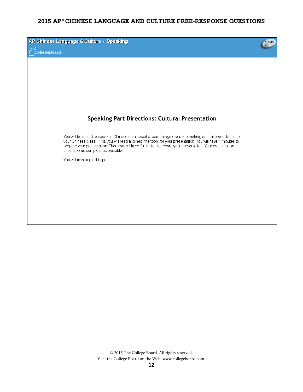| AP Chinese Language & Culture - Speaking<br>CollegeBoard                                                                                                                                                                                                                                                                                                                   | VOLUME |
|----------------------------------------------------------------------------------------------------------------------------------------------------------------------------------------------------------------------------------------------------------------------------------------------------------------------------------------------------------------------------|--------|
|                                                                                                                                                                                                                                                                                                                                                                            |        |
|                                                                                                                                                                                                                                                                                                                                                                            |        |
| <b>Speaking Part Directions: Cultural Presentation</b>                                                                                                                                                                                                                                                                                                                     |        |
| You will be asked to speak in Chinese on a specific topic. Imagine you are making an oral presentation to<br>your Chinese class. First, you will read and hear the topic for your presentation. You will have 4 minutes to<br>prepare your presentation. Then you will have 2 minutes to record your presentation. Your presentation<br>should be as complete as possible. |        |
| You will now begin this part.                                                                                                                                                                                                                                                                                                                                              |        |
|                                                                                                                                                                                                                                                                                                                                                                            |        |
|                                                                                                                                                                                                                                                                                                                                                                            |        |
|                                                                                                                                                                                                                                                                                                                                                                            |        |
|                                                                                                                                                                                                                                                                                                                                                                            |        |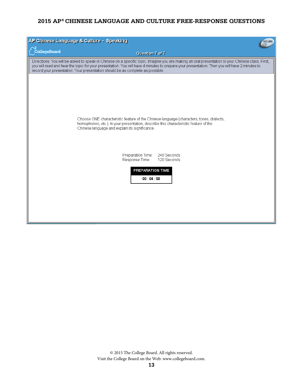| AP Chinese Language & Culture - Speaking<br>VOLUME                             |                                                                                                                                                                                                                                                                                                   |
|--------------------------------------------------------------------------------|---------------------------------------------------------------------------------------------------------------------------------------------------------------------------------------------------------------------------------------------------------------------------------------------------|
| CollegeBoard                                                                   | Question 7 of 7                                                                                                                                                                                                                                                                                   |
| record your presentation. Your presentation should be as complete as possible. | Directions: You will be asked to speak in Chinese on a specific topic. Imagine you are making an oral presentation to your Chinese class. First,<br>you will read and hear the topic for your presentation. You will have 4 minutes to prepare your presentation. Then you will have 2 minutes to |
| Chinese language and explain its significance.                                 | Choose ONE characteristic feature of the Chinese language (characters, tones, dialects,<br>homophones, etc.). In your presentation, describe this characteristic feature of the<br>Preparation Time:<br>240 Seconds<br>Response Time:<br>120 Seconds<br>PREPARATION TIME<br>00:04:00              |
|                                                                                |                                                                                                                                                                                                                                                                                                   |